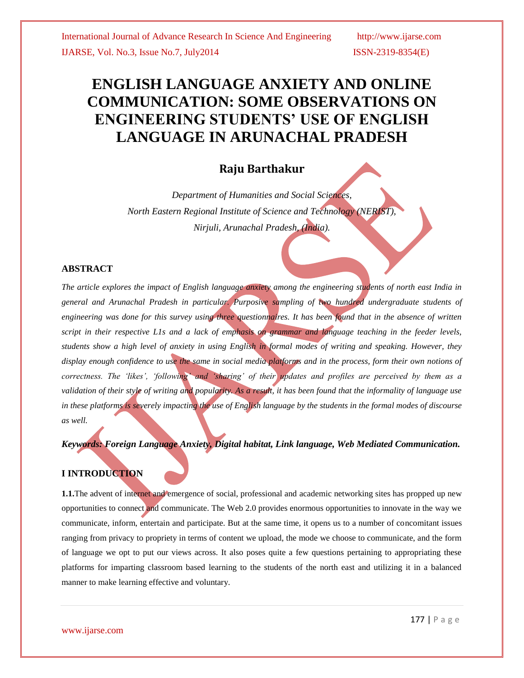# **ENGLISH LANGUAGE ANXIETY AND ONLINE COMMUNICATION: SOME OBSERVATIONS ON ENGINEERING STUDENTS' USE OF ENGLISH LANGUAGE IN ARUNACHAL PRADESH**

## **Raju Barthakur**

*Department of Humanities and Social Sciences, North Eastern Regional Institute of Science and Technology (NERIST), Nirjuli, Arunachal Pradesh, (India).*

### **ABSTRACT**

*The article explores the impact of English language anxiety among the engineering students of north east India in general and Arunachal Pradesh in particular. Purposive sampling of two hundred undergraduate students of engineering was done for this survey using three questionnaires. It has been found that in the absence of written script in their respective L1s and a lack of emphasis on grammar and language teaching in the feeder levels, students show a high level of anxiety in using English in formal modes of writing and speaking. However, they display enough confidence to use the same in social media platforms and in the process, form their own notions of correctness. The 'likes', 'following' and 'sharing' of their updates and profiles are perceived by them as a validation of their style of writing and popularity. As a result, it has been found that the informality of language use in these platforms is severely impacting the use of English language by the students in the formal modes of discourse as well.*

*Keywords: Foreign Language Anxiety, Digital habitat, Link language, Web Mediated Communication.*

## **I INTRODUCTION**

**1.1.**The advent of internet and emergence of social, professional and academic networking sites has propped up new opportunities to connect and communicate. The Web 2.0 provides enormous opportunities to innovate in the way we communicate, inform, entertain and participate. But at the same time, it opens us to a number of concomitant issues ranging from privacy to propriety in terms of content we upload, the mode we choose to communicate, and the form of language we opt to put our views across. It also poses quite a few questions pertaining to appropriating these platforms for imparting classroom based learning to the students of the north east and utilizing it in a balanced manner to make learning effective and voluntary.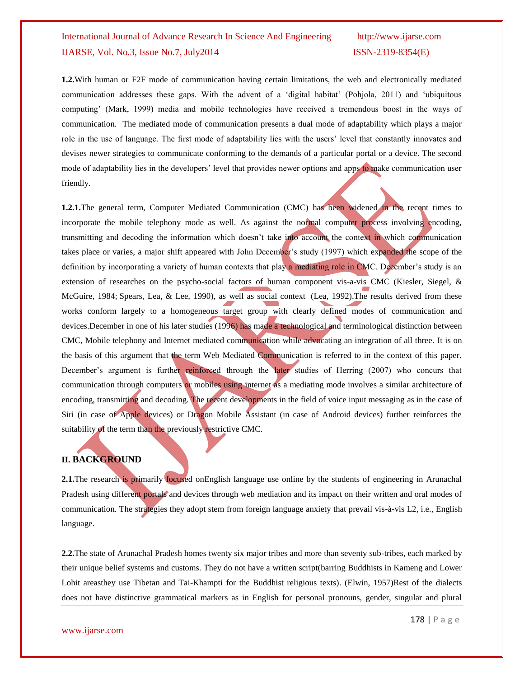**1.2.**With human or F2F mode of communication having certain limitations, the web and electronically mediated communication addresses these gaps. With the advent of a "digital habitat" (Pohjola, 2011) and "ubiquitous computing" (Mark, 1999) media and mobile technologies have received a tremendous boost in the ways of communication. The mediated mode of communication presents a dual mode of adaptability which plays a major role in the use of language. The first mode of adaptability lies with the users' level that constantly innovates and devises newer strategies to communicate conforming to the demands of a particular portal or a device. The second mode of adaptability lies in the developers' level that provides newer options and apps to make communication user friendly.

1.2.1. The general term, Computer Mediated Communication (CMC) has been widened in the recent times to incorporate the mobile telephony mode as well. As against the normal computer process involving encoding, transmitting and decoding the information which doesn"t take into account the context in which communication takes place or varies, a major shift appeared with John December"s study (1997) which expanded the scope of the definition by incorporating a variety of human contexts that play a mediating role in CMC. December's study is an extension of researches on the psycho-social factors of human component vis-a-vis CMC [\(Kiesler,](http://onlinelibrary.wiley.com/doi/10.1111/j.1083-6101.1996.tb00173.x/full#b28) Siegel, & [McGuire,](http://onlinelibrary.wiley.com/doi/10.1111/j.1083-6101.1996.tb00173.x/full#b28) 1984; [Spears,](http://onlinelibrary.wiley.com/doi/10.1111/j.1083-6101.1996.tb00173.x/full#b66) Lea, & Lee, 1990), as well as social context (Lea, [1992\)](http://onlinelibrary.wiley.com/doi/10.1111/j.1083-6101.1996.tb00173.x/full#b31).The results derived from these works conform largely to a homogeneous target group with clearly defined modes of communication and devices.December in one of his later studies (1996) has made a technological and terminological distinction between CMC, Mobile telephony and Internet mediated communication while advocating an integration of all three. It is on the basis of this argument that the term Web Mediated Communication is referred to in the context of this paper. December's argument is further reinforced through the later studies of Herring (2007) who concurs that communication through computers or mobiles using internet as a mediating mode involves a similar architecture of encoding, transmitting and decoding. The recent developments in the field of voice input messaging as in the case of Siri (in case of Apple devices) or Dragon Mobile Assistant (in case of Android devices) further reinforces the suitability of the term than the previously restrictive CMC.

### **II. BACKGROUND**

**2.1.**The research is primarily focused onEnglish language use online by the students of engineering in Arunachal Pradesh using different portals and devices through web mediation and its impact on their written and oral modes of communication. The strategies they adopt stem from foreign language anxiety that prevail vis-à-vis L2, i.e., English language.

**2.2.**The state of Arunachal Pradesh homes twenty six major tribes and more than seventy sub-tribes, each marked by their unique belief systems and customs. They do not have a written script(barring Buddhists in Kameng and Lower Lohit areasthey use Tibetan and Tai-Khampti for the Buddhist religious texts). (Elwin, 1957)Rest of the dialects does not have distinctive grammatical markers as in English for personal pronouns, gender, singular and plural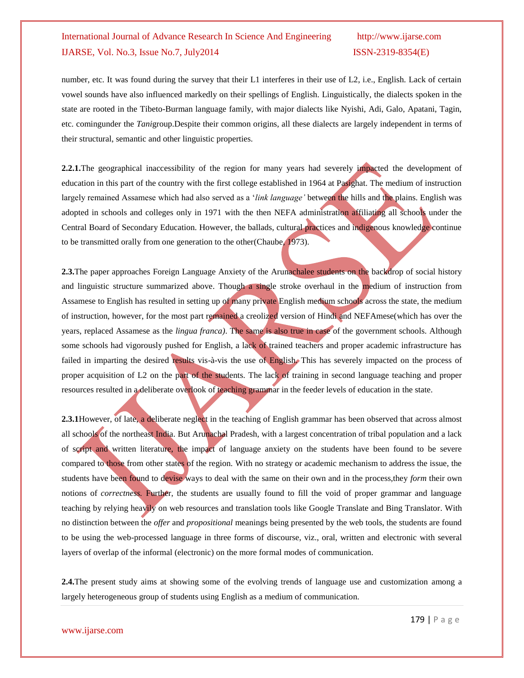number, etc. It was found during the survey that their L1 interferes in their use of L2, i.e., English. Lack of certain vowel sounds have also influenced markedly on their spellings of English. Linguistically, the dialects spoken in the state are rooted in the Tibeto-Burman language family, with major dialects like Nyishi, Adi, Galo, Apatani, Tagin, etc. comingunder the *Tani*group.Despite their common origins, all these dialects are largely independent in terms of their structural, semantic and other linguistic properties.

**2.2.1.**The geographical inaccessibility of the region for many years had severely impacted the development of education in this part of the country with the first college established in 1964 at Pasighat. The medium of instruction largely remained Assamese which had also served as a "*link language'* between the hills and the plains. English was adopted in schools and colleges only in 1971 with the then NEFA administration affiliating all schools under the Central Board of Secondary Education. However, the ballads, cultural practices and indigenous knowledge continue to be transmitted orally from one generation to the other(Chaube, 1973).

**2.3.**The paper approaches Foreign Language Anxiety of the Arunachalee students on the backdrop of social history and linguistic structure summarized above. Though a single stroke overhaul in the medium of instruction from Assamese to English has resulted in setting up of many private English medium schools across the state, the medium of instruction, however, for the most part remained a creolized version of Hindi and NEFAmese(which has over the years, replaced Assamese as the *lingua franca)*. The same is also true in case of the government schools. Although some schools had vigorously pushed for English, a lack of trained teachers and proper academic infrastructure has failed in imparting the desired results vis-à-vis the use of English. This has severely impacted on the process of proper acquisition of L2 on the part of the students. The lack of training in second language teaching and proper resources resulted in a deliberate overlook of teaching grammar in the feeder levels of education in the state.

**2.3.1**However, of late, a deliberate neglect in the teaching of English grammar has been observed that across almost all schools of the northeast India. But Arunachal Pradesh, with a largest concentration of tribal population and a lack of script and written literature, the impact of language anxiety on the students have been found to be severe compared to those from other states of the region. With no strategy or academic mechanism to address the issue, the students have been found to devise ways to deal with the same on their own and in the process,they *form* their own notions of *correctness.* Further, the students are usually found to fill the void of proper grammar and language teaching by relying heavily on web resources and translation tools like Google Translate and Bing Translator. With no distinction between the *offer* and *propositional* meanings being presented by the web tools, the students are found to be using the web-processed language in three forms of discourse, viz., oral, written and electronic with several layers of overlap of the informal (electronic) on the more formal modes of communication.

**2.4.**The present study aims at showing some of the evolving trends of language use and customization among a largely heterogeneous group of students using English as a medium of communication.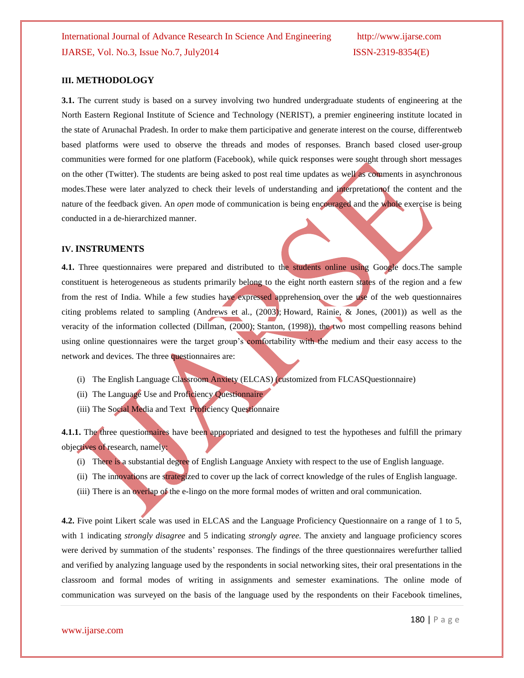### **III. METHODOLOGY**

**3.1.** The current study is based on a survey involving two hundred undergraduate students of engineering at the North Eastern Regional Institute of Science and Technology (NERIST), a premier engineering institute located in the state of Arunachal Pradesh. In order to make them participative and generate interest on the course, differentweb based platforms were used to observe the threads and modes of responses. Branch based closed user-group communities were formed for one platform (Facebook), while quick responses were sought through short messages on the other (Twitter). The students are being asked to post real time updates as well as comments in asynchronous modes.These were later analyzed to check their levels of understanding and interpretationof the content and the nature of the feedback given. An *open* mode of communication is being encouraged and the whole exercise is being conducted in a de-hierarchized manner.

### **IV. INSTRUMENTS**

**4.1.** Three questionnaires were prepared and distributed to the students online using Google docs.The sample constituent is heterogeneous as students primarily belong to the eight north eastern states of the region and a few from the rest of India. While a few studies have expressed apprehension over the use of the web questionnaires citing problems related to sampling [\(Andrews](http://onlinelibrary.wiley.com/doi/10.1111/j.1083-6101.2005.tb00259.x/full#b2) et al., (2003); [Howard,](http://onlinelibrary.wiley.com/doi/10.1111/j.1083-6101.2005.tb00259.x/full#b16) Rainie, & Jones, (2001)) as well as the veracity of the information collected [\(Dillman,](http://onlinelibrary.wiley.com/doi/10.1111/j.1083-6101.2005.tb00259.x/full#b6) (2000); [Stanton,](http://onlinelibrary.wiley.com/doi/10.1111/j.1083-6101.2005.tb00259.x/full#b35) (1998)), the two most compelling reasons behind using online questionnaires were the target group's comfortability with the medium and their easy access to the network and devices. The three questionnaires are:

- (i) The English Language Classroom Anxiety (ELCAS) (customized from FLCASQuestionnaire)
- (ii) The Language Use and Proficiency Questionnaire
- (iii) The Social Media and Text Proficiency Questionnaire

**4.1.1.** The three questionnaires have been appropriated and designed to test the hypotheses and fulfill the primary objectives of research, namely:

- (i) There is a substantial degree of English Language Anxiety with respect to the use of English language.
- (ii) The innovations are strategized to cover up the lack of correct knowledge of the rules of English language.
- (iii) There is an overlap of the e-lingo on the more formal modes of written and oral communication.

**4.2.** Five point Likert scale was used in ELCAS and the Language Proficiency Questionnaire on a range of 1 to 5, with 1 indicating *strongly disagree* and 5 indicating *strongly agree.* The anxiety and language proficiency scores were derived by summation of the students' responses. The findings of the three questionnaires werefurther tallied and verified by analyzing language used by the respondents in social networking sites, their oral presentations in the classroom and formal modes of writing in assignments and semester examinations. The online mode of communication was surveyed on the basis of the language used by the respondents on their Facebook timelines,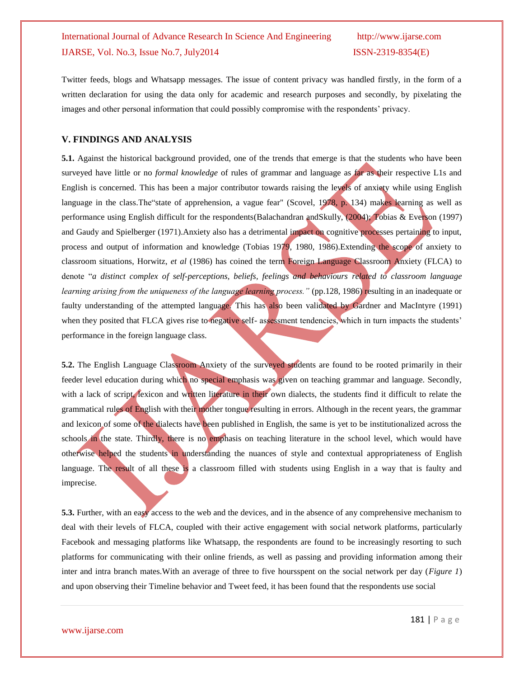Twitter feeds, blogs and Whatsapp messages. The issue of content privacy was handled firstly, in the form of a written declaration for using the data only for academic and research purposes and secondly, by pixelating the images and other personal information that could possibly compromise with the respondents" privacy.

### **V. FINDINGS AND ANALYSIS**

**5.1.** Against the historical background provided, one of the trends that emerge is that the students who have been surveyed have little or no *formal knowledge* of rules of grammar and language as far as their respective L1s and English is concerned. This has been a major contributor towards raising the levels of anxiety while using English language in the class. The state of apprehension, a vague fear" (Scovel, 1978, p. 134) makes learning as well as performance using English difficult for the respondents(Balachandran andSkully, (2004); Tobias & Everson (1997) and Gaudy and Spielberger (1971).Anxiety also has a detrimental impact on cognitive processes pertaining to input, process and output of information and knowledge (Tobias 1979, 1980, 1986).Extending the scope of anxiety to classroom situations, Horwitz, *et al* (1986) has coined the term Foreign Language Classroom Anxiety (FLCA) to denote "*a distinct complex of self-perceptions, beliefs, feelings and behaviours related to classroom language learning arising from the uniqueness of the language learning process."* (pp.128, 1986) resulting in an inadequate or faulty understanding of the attempted language. This has also been validated by Gardner and MacIntyre (1991) when they posited that FLCA gives rise to negative self- assessment tendencies, which in turn impacts the students' performance in the foreign language class.

**5.2.** The English Language Classroom Anxiety of the surveyed students are found to be rooted primarily in their feeder level education during which no special emphasis was given on teaching grammar and language. Secondly, with a lack of script, lexicon and written literature in their own dialects, the students find it difficult to relate the grammatical rules of English with their mother tongue resulting in errors. Although in the recent years, the grammar and lexicon of some of the dialects have been published in English, the same is yet to be institutionalized across the schools in the state. Thirdly, there is no emphasis on teaching literature in the school level, which would have otherwise helped the students in understanding the nuances of style and contextual appropriateness of English language. The result of all these is a classroom filled with students using English in a way that is faulty and imprecise.

**5.3.** Further, with an easy access to the web and the devices, and in the absence of any comprehensive mechanism to deal with their levels of FLCA, coupled with their active engagement with social network platforms, particularly Facebook and messaging platforms like Whatsapp, the respondents are found to be increasingly resorting to such platforms for communicating with their online friends, as well as passing and providing information among their inter and intra branch mates.With an average of three to five hoursspent on the social network per day (*Figure 1*) and upon observing their Timeline behavior and Tweet feed, it has been found that the respondents use social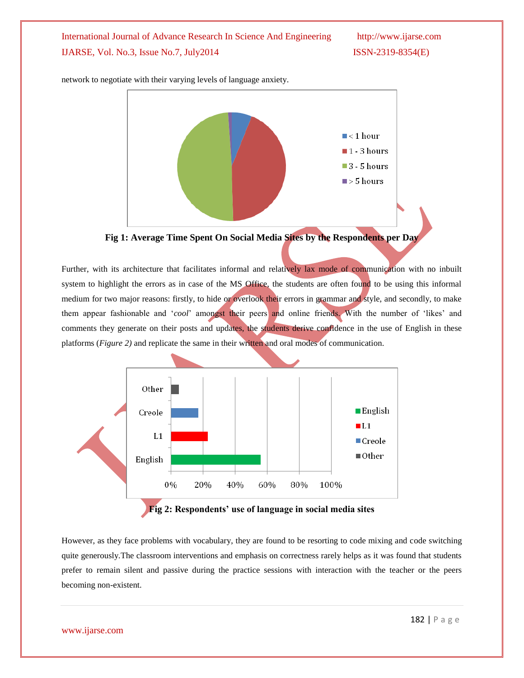

network to negotiate with their varying levels of language anxiety.

**Fig 1: Average Time Spent On Social Media Sites by the Respondents per Day**

Further, with its architecture that facilitates informal and relatively lax mode of communication with no inbuilt system to highlight the errors as in case of the MS Office, the students are often found to be using this informal medium for two major reasons: firstly, to hide or overlook their errors in grammar and style, and secondly, to make them appear fashionable and "*cool*" amongst their peers and online friends. With the number of "likes" and comments they generate on their posts and updates, the students derive confidence in the use of English in these platforms (*Figure 2)* and replicate the same in their written and oral modes of communication.



However, as they face problems with vocabulary, they are found to be resorting to code mixing and code switching quite generously*.*The classroom interventions and emphasis on correctness rarely helps as it was found that students prefer to remain silent and passive during the practice sessions with interaction with the teacher or the peers becoming non-existent.

www.ijarse.com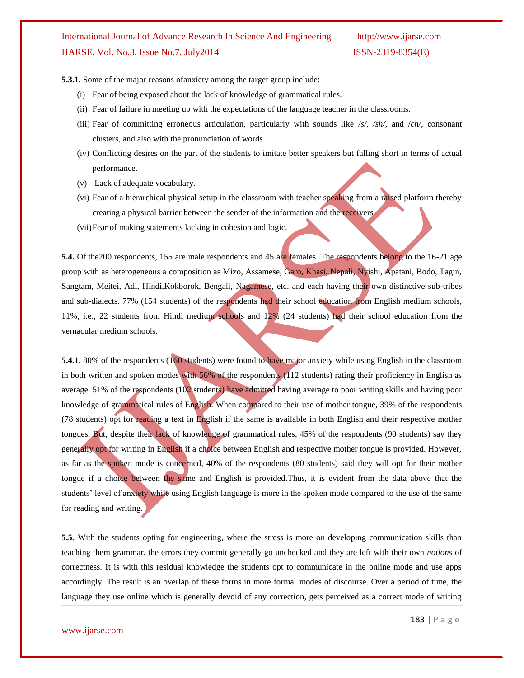**5.3.1.** Some of the major reasons ofanxiety among the target group include:

- (i) Fear of being exposed about the lack of knowledge of grammatical rules.
- (ii) Fear of failure in meeting up with the expectations of the language teacher in the classrooms.
- (iii) Fear of committing erroneous articulation, particularly with sounds like */s/, /sh/,* and /*ch/*, consonant clusters, and also with the pronunciation of words.
- (iv) Conflicting desires on the part of the students to imitate better speakers but falling short in terms of actual performance.
- (v) Lack of adequate vocabulary.
- (vi) Fear of a hierarchical physical setup in the classroom with teacher speaking from a raised platform thereby creating a physical barrier between the sender of the information and the receivers
- (vii)Fear of making statements lacking in cohesion and logic.

**5.4.** Of the 200 respondents, 155 are male respondents and 45 are females. The respondents belong to the 16-21 age group with as heterogeneous a composition as Mizo, Assamese, Garo, Khasi, Nepali, Nyishi, Apatani, Bodo, Tagin, Sangtam, Meitei, Adi, Hindi,Kokborok, Bengali, Nagamese, etc. and each having their own distinctive sub-tribes and sub-dialects. 77% (154 students) of the respondents had their school education from English medium schools, 11%, i.e., 22 students from Hindi medium schools and 12% (24 students) had their school education from the vernacular medium schools.

**5.4.1.** 80% of the respondents (160 students) were found to have major anxiety while using English in the classroom in both written and spoken modes with 56% of the respondents (112 students) rating their proficiency in English as average. 51% of the respondents (102 students) have admitted having average to poor writing skills and having poor knowledge of grammatical rules of English. When compared to their use of mother tongue, 39% of the respondents (78 students) opt for reading a text in English if the same is available in both English and their respective mother tongues. But, despite their lack of knowledge of grammatical rules, 45% of the respondents (90 students) say they generally opt for writing in English if a choice between English and respective mother tongue is provided. However, as far as the spoken mode is concerned, 40% of the respondents (80 students) said they will opt for their mother tongue if a choice between the same and English is provided.Thus, it is evident from the data above that the students' level of anxiety while using English language is more in the spoken mode compared to the use of the same for reading and writing.

**5.5.** With the students opting for engineering, where the stress is more on developing communication skills than teaching them grammar, the errors they commit generally go unchecked and they are left with their own *notions* of correctness. It is with this residual knowledge the students opt to communicate in the online mode and use apps accordingly. The result is an overlap of these forms in more formal modes of discourse. Over a period of time, the language they use online which is generally devoid of any correction, gets perceived as a correct mode of writing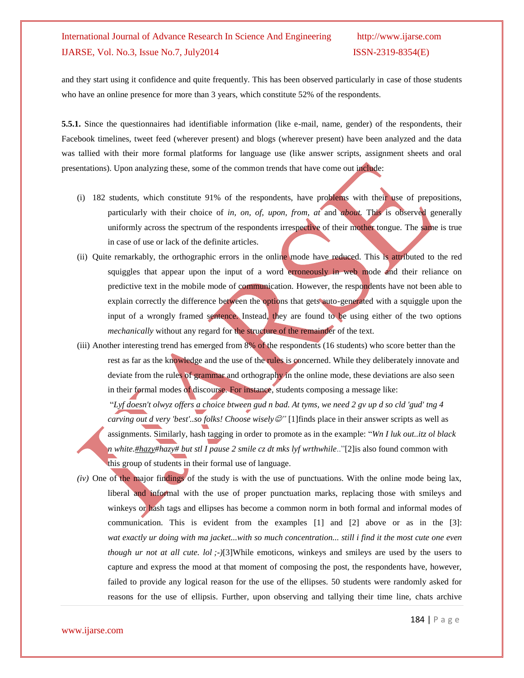and they start using it confidence and quite frequently. This has been observed particularly in case of those students who have an online presence for more than 3 years, which constitute 52% of the respondents.

**5.5.1.** Since the questionnaires had identifiable information (like e-mail, name, gender) of the respondents, their Facebook timelines, tweet feed (wherever present) and blogs (wherever present) have been analyzed and the data was tallied with their more formal platforms for language use (like answer scripts, assignment sheets and oral presentations). Upon analyzing these, some of the common trends that have come out include:

- (i) 182 students, which constitute 91% of the respondents, have problems with their use of prepositions, particularly with their choice of *in, on, of, upon, from, at* and *about.* This is observed generally uniformly across the spectrum of the respondents irrespective of their mother tongue. The same is true in case of use or lack of the definite articles.
- (ii) Quite remarkably, the orthographic errors in the online mode have reduced. This is attributed to the red squiggles that appear upon the input of a word erroneously in web mode and their reliance on predictive text in the mobile mode of communication. However, the respondents have not been able to explain correctly the difference between the options that gets auto-generated with a squiggle upon the input of a wrongly framed sentence. Instead, they are found to be using either of the two options *mechanically* without any regard for the structure of the remainder of the text.
- (iii) Another interesting trend has emerged from 8% of the respondents (16 students) who score better than the rest as far as the knowledge and the use of the rules is concerned. While they deliberately innovate and deviate from the rules of grammar and orthography in the online mode, these deviations are also seen in their formal modes of discourse. For instance, students composing a message like:

"*Lyf doesn't olwyz offers a choice btween gud n bad. At tyms, we need 2 gv up d so cld 'gud' tng 4 carving out d very 'best'..so folks! Choose wisely*  $\mathcal{O}$ " [1]finds place in their answer scripts as well as assignments. Similarly, hash tagging in order to promote as in the example: "*Wn I luk out..itz ol black n whit[e.#hazy#](https://www.facebook.com/hashtag/hazy)hazy# but stl I pause 2 smile cz dt mks lyf wrthwhile*.."[2]is also found common with this group of students in their formal use of language.

*(iv)* One of the major findings of the study is with the use of punctuations. With the online mode being lax, liberal and informal with the use of proper punctuation marks, replacing those with smileys and winkeys or hash tags and ellipses has become a common norm in both formal and informal modes of communication. This is evident from the examples [1] and [2] above or as in the [3]: *wat exactly ur doing with ma jacket...with so much concentration... still i find it the most cute one even though ur not at all cute. lol ;-)*[3]While emoticons, winkeys and smileys are used by the users to capture and express the mood at that moment of composing the post, the respondents have, however, failed to provide any logical reason for the use of the ellipses. 50 students were randomly asked for reasons for the use of ellipsis. Further, upon observing and tallying their time line, chats archive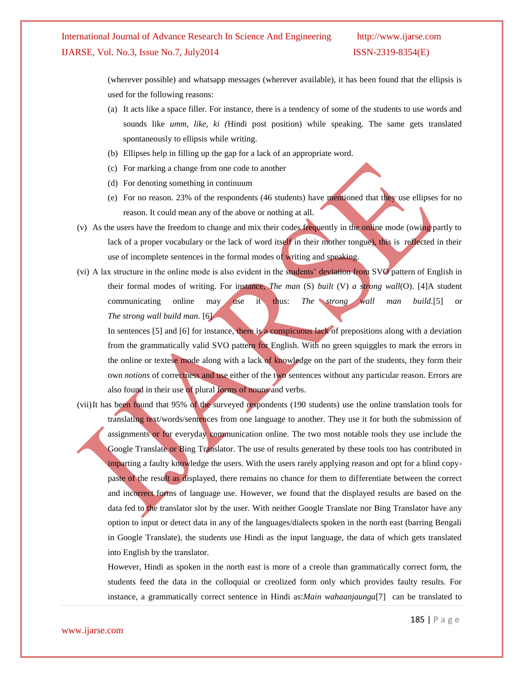(wherever possible) and whatsapp messages (wherever available), it has been found that the ellipsis is used for the following reasons:

- (a) It acts like a space filler. For instance, there is a tendency of some of the students to use words and sounds like *umm, like, ki (*Hindi post position) while speaking. The same gets translated spontaneously to ellipsis while writing.
- (b) Ellipses help in filling up the gap for a lack of an appropriate word.
- (c) For marking a change from one code to another
- (d) For denoting something in continuum
- (e) For no reason. 23% of the respondents (46 students) have mentioned that they use ellipses for no reason. It could mean any of the above or nothing at all.
- (v) As the users have the freedom to change and mix their codes frequently in the online mode (owing partly to lack of a proper vocabulary or the lack of word itself in their mother tongue), this is reflected in their use of incomplete sentences in the formal modes of writing and speaking.
- (vi) A lax structure in the online mode is also evident in the students" deviation from SVO pattern of English in their formal modes of writing. For instance, *The man* (S) *built* (V) *a strong wall*(O). [4]A student communicating online may use it thus: *The strong wall man build.*[5] or *The strong wall build man.* [6]

In sentences [5] and [6] for instance, there is a conspicuous lack of prepositions along with a deviation from the grammatically valid SVO pattern for English. With no green squiggles to mark the errors in the online or textese mode along with a lack of knowledge on the part of the students, they form their own *notions* of correctness and use either of the two sentences without any particular reason. Errors are also found in their use of plural forms of nouns and verbs.

(vii)It has been found that 95% of the surveyed respondents (190 students) use the online translation tools for translating text/words/sentences from one language to another. They use it for both the submission of assignments or for everyday communication online. The two most notable tools they use include the Google Translate or Bing Translator. The use of results generated by these tools too has contributed in imparting a faulty knowledge the users. With the users rarely applying reason and opt for a blind copypaste of the result as displayed, there remains no chance for them to differentiate between the correct and incorrect forms of language use. However, we found that the displayed results are based on the data fed to the translator slot by the user. With neither Google Translate nor Bing Translator have any option to input or detect data in any of the languages/dialects spoken in the north east (barring Bengali in Google Translate), the students use Hindi as the input language, the data of which gets translated into English by the translator.

However, Hindi as spoken in the north east is more of a creole than grammatically correct form, the students feed the data in the colloquial or creolized form only which provides faulty results. For instance, a grammatically correct sentence in Hindi as:*Main wahaanjaunga*[7] can be translated to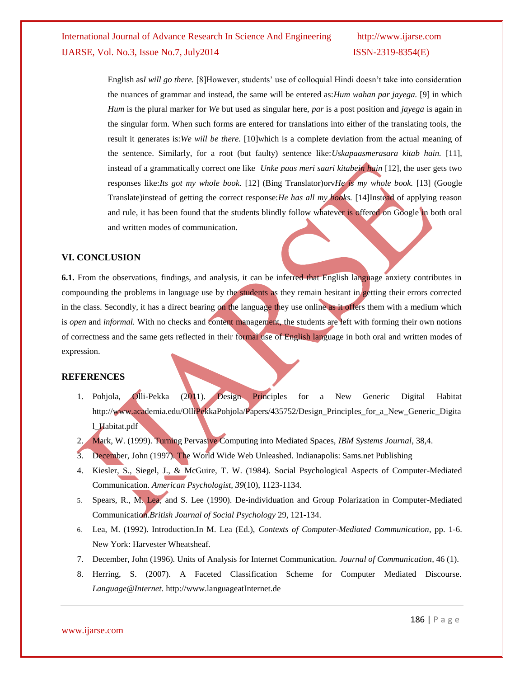English as*I will go there.* [8]However, students' use of colloquial Hindi doesn't take into consideration the nuances of grammar and instead, the same will be entered as:*Hum wahan par jayega.* [9] in which *Hum* is the plural marker for *We* but used as singular here, *par* is a post position and *jayega* is again in the singular form. When such forms are entered for translations into either of the translating tools, the result it generates is:*We will be there.* [10]which is a complete deviation from the actual meaning of the sentence. Similarly, for a root (but faulty) sentence like:*Uskapaasmerasara kitab hain.* [11], instead of a grammatically correct one like *Unke paas meri saari kitabein hain* [12], the user gets two responses like:*Its got my whole book.* [12] (Bing Translator)orv*He is my whole book.* [13] (Google Translate)instead of getting the correct response:*He has all my books.* [14]Instead of applying reason and rule, it has been found that the students blindly follow whatever is offered on Google in both oral and written modes of communication.

### **VI. CONCLUSION**

**6.1.** From the observations, findings, and analysis, it can be inferred that English language anxiety contributes in compounding the problems in language use by the students as they remain hesitant in getting their errors corrected in the class. Secondly, it has a direct bearing on the language they use online as it offers them with a medium which is *open* and *informal.* With no checks and content management, the students are left with forming their own notions of correctness and the same gets reflected in their formal use of English language in both oral and written modes of expression.

### **REFERENCES**

- 1. Pohjola, Olli-Pekka (2011). Design Principles for a New Generic Digital Habitat [http://www.academia.edu/OlliPekkaPohjola/Papers/435752/Design\\_Principles\\_for\\_a\\_New\\_Generic\\_Digita](http://www.academia.edu/OlliPekkaPohjola/Papers/435752/Design_Principles_for_a_New_Generic_Digital_Habitat.pdf) [l\\_Habitat.pdf](http://www.academia.edu/OlliPekkaPohjola/Papers/435752/Design_Principles_for_a_New_Generic_Digital_Habitat.pdf)
- 2. Mark, W. (1999). Turning Pervasive Computing into Mediated Spaces, *IBM Systems Journal*, 38,4.
- 3. December, John (1997). The World Wide Web Unleashed. Indianapolis: Sams.net Publishing
- 4. Kiesler, S., Siegel, J., & McGuire, T. W. (1984). Social Psychological Aspects of Computer-Mediated Communication. *American Psychologist, 39*(10), 1123-1134.
- 5. Spears, R., M. Lea, and S. Lee (1990). De-individuation and Group Polarization in Computer-Mediated Communication.*British Journal of Social Psychology* 29, 121-134.
- 6. Lea, M. (1992). Introduction.In M. Lea (Ed.), *Contexts of Computer-Mediated Communication*, pp. 1-6. New York: Harvester Wheatsheaf.
- 7. December, John (1996). Units of Analysis for Internet Communication. *Journal of Communication,* 46 (1).
- 8. Herring, S. (2007). A Faceted Classification Scheme for Computer Mediated Discourse. *Language@Internet.* [http://www.languageatInternet.de](http://www.languageatinternet.de/)